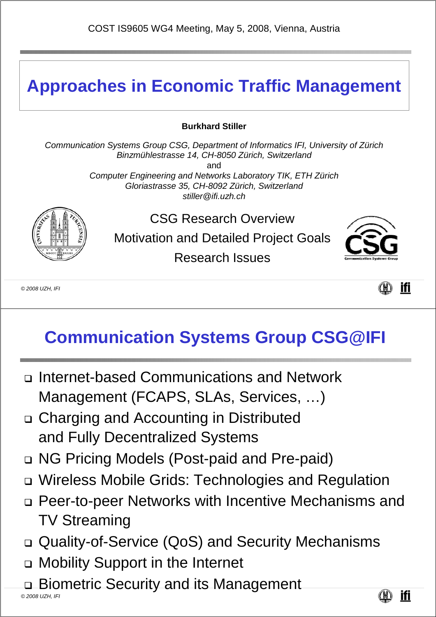### **Approaches in Economic Traffic Management**

#### **Burkhard Stiller**

*Communication Systems Group CSG, Department of Informatics IFI, University of Zürich Binzmühlestrasse 14, CH-8050 Zürich, Switzerland* and *Computer Engineering and Networks Laboratory TIK, ETH Zürich Gloriastrasse 35, CH-8092 Zürich, Switzerland stiller@ifi.uzh.ch*



CSG Research Overview Motivation and Detailed Project Goals Research Issues



*© 2008 UZH, IFI*



### **Communication Systems Group CSG@IFI**

- Internet-based Communications and Network Management (FCAPS, SLAs, Services, …)
- Charging and Accounting in Distributed and Fully Decentralized Systems
- NG Pricing Models (Post-paid and Pre-paid)
- Wireless Mobile Grids: Technologies and Regulation
- Peer-to-peer Networks with Incentive Mechanisms and TV Streaming
- Quality-of-Service (QoS) and Security Mechanisms
- Mobility Support in the Internet
- Biometric Security and its Management

*© 2008 UZH, IFI*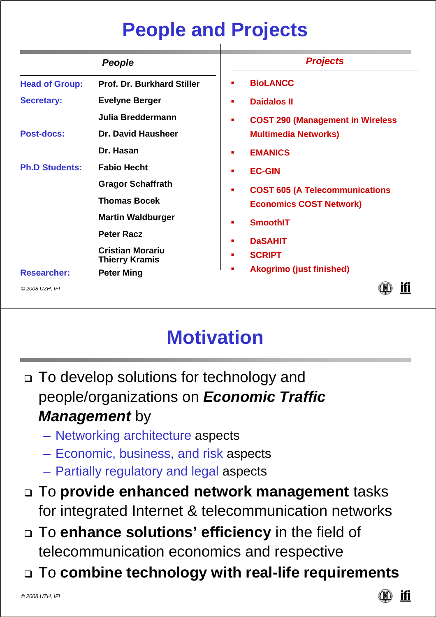## **People and Projects**

|                       | <b>People</b>                                    | <b>Projects</b>                               |  |  |  |  |
|-----------------------|--------------------------------------------------|-----------------------------------------------|--|--|--|--|
| <b>Head of Group:</b> | <b>Prof. Dr. Burkhard Stiller</b>                | <b>BioLANCC</b>                               |  |  |  |  |
| <b>Secretary:</b>     | <b>Evelyne Berger</b>                            | <b>Daidalos II</b><br>п                       |  |  |  |  |
|                       | Julia Breddermann                                | <b>COST 290 (Management in Wireless)</b><br>п |  |  |  |  |
| <b>Post-docs:</b>     | Dr. David Hausheer                               | <b>Multimedia Networks)</b>                   |  |  |  |  |
|                       | Dr. Hasan                                        | <b>EMANICS</b>                                |  |  |  |  |
| <b>Ph.D Students:</b> | <b>Fabio Hecht</b>                               | <b>EC-GIN</b>                                 |  |  |  |  |
|                       | <b>Gragor Schaffrath</b>                         | <b>COST 605 (A Telecommunications</b><br>п    |  |  |  |  |
|                       | <b>Thomas Bocek</b>                              | <b>Economics COST Network)</b>                |  |  |  |  |
|                       | <b>Martin Waldburger</b>                         | <b>SmoothIT</b>                               |  |  |  |  |
|                       | <b>Peter Racz</b>                                | <b>DaSAHIT</b><br>п                           |  |  |  |  |
|                       | <b>Cristian Morariu</b><br><b>Thierry Kramis</b> | <b>SCRIPT</b>                                 |  |  |  |  |
| <b>Researcher:</b>    | <b>Peter Ming</b>                                | <b>Akogrimo (just finished)</b>               |  |  |  |  |
| © 2008 UZH, IFI       |                                                  |                                               |  |  |  |  |

## **Motivation**

- □ To develop solutions for technology and people/organizations on *Economic Traffic Management* by
	- Networking architecture aspects
	- Economic, business, and risk aspects
	- Partially regulatory and legal aspects
- To **provide enhanced network management** tasks for integrated Internet & telecommunication networks
- To **enhance solutions' efficiency** in the field of telecommunication economics and respective
- To **combine technology with real-life requirements**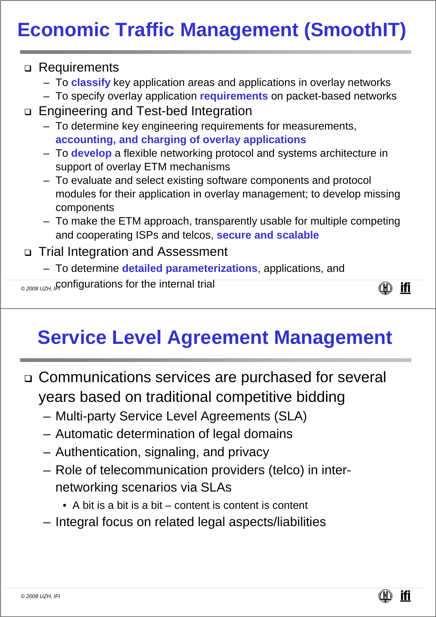# **Economic Traffic Management (SmoothIT)**

#### □ Requirements

- To **classify** key application areas and applications in overlay networks
- To specify overlay application **requirements** on packet-based networks
- □ Engineering and Test-bed Integration
	- To determine key engineering requirements for measurements, **accounting, and charging of overlay applications**
	- To **develop** a flexible networking protocol and systems architecture in support of overlay ETM mechanisms
	- To evaluate and select existing software components and protocol modules for their application in overlay management; to develop missing components
	- To make the ETM approach, transparently usable for multiple competing and cooperating ISPs and telcos, **secure and scalable**

### Trial Integration and Assessment

- To determine **detailed parameterizations**, applications, and
- <sub>©2008 ∪zн, /</sub>çonfigurations for the internal trial

ifi 

## **Service Level Agreement Management**

- Communications services are purchased for several years based on traditional competitive bidding
	- Multi-party Service Level Agreements (SLA)
	- Automatic determination of legal domains
	- Authentication, signaling, and privacy
	- Role of telecommunication providers (telco) in internetworking scenarios via SLAs
		- A bit is a bit is a bit content is content is content
	- Integral focus on related legal aspects/liabilities

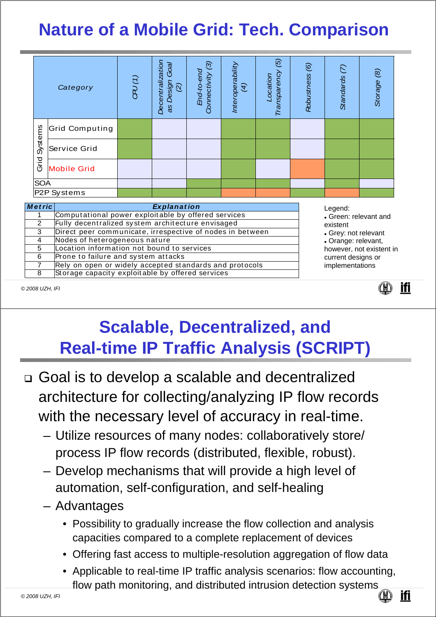## **Nature of a Mobile Grid: Tech. Comparison**

|                          | Category              | CPU(1) | Decentralization<br>Goal<br>Design<br>$\widehat{\alpha}$<br>as | $\widehat{\mathcal{C}}$<br>End-to-end<br>Connectivity | Interoperability<br>(4) | $\overline{5}$<br>Transparency<br>Location | $\circledcirc$<br>Robustness | Standards <sub>(7)</sub> | Storage (8) |
|--------------------------|-----------------------|--------|----------------------------------------------------------------|-------------------------------------------------------|-------------------------|--------------------------------------------|------------------------------|--------------------------|-------------|
| Systems<br>Grid          | <b>Grid Computing</b> |        |                                                                |                                                       |                         |                                            |                              |                          |             |
|                          | Service Grid          |        |                                                                |                                                       |                         |                                            |                              |                          |             |
|                          | <b>Mobile Grid</b>    |        |                                                                |                                                       |                         |                                            |                              |                          |             |
| <b>SOA</b>               |                       |        |                                                                |                                                       |                         |                                            |                              |                          |             |
| P <sub>2</sub> P Systems |                       |        |                                                                |                                                       |                         |                                            |                              |                          |             |

| <b>Metric</b> | <b>Explanation</b>                                        | Legend:                                     |  |  |  |
|---------------|-----------------------------------------------------------|---------------------------------------------|--|--|--|
|               | Computational power exploitable by offered services       | • Green: relevant and                       |  |  |  |
| 2             | Fully decentralized system architecture envisaged         | existent                                    |  |  |  |
| 3             | Direct peer communicate, irrespective of nodes in between | • Grey: not relevant<br>• Orange: relevant, |  |  |  |
| 4             | Nodes of heterogeneous nature                             |                                             |  |  |  |
| 5             | Location information not bound to services                | however, not existent in                    |  |  |  |
| 6             | Prone to failure and system attacks                       | current designs or                          |  |  |  |
|               | Rely on open or widely accepted standards and protocols   | implementations                             |  |  |  |
| 8             | Storage capacity exploitable by offered services          |                                             |  |  |  |

*© 2008 UZH, IFI*



## **Scalable, Decentralized, and Real-time IP Traffic Analysis (SCRIPT)**

- Goal is to develop a scalable and decentralized architecture for collecting/analyzing IP flow records with the necessary level of accuracy in real-time.
	- Utilize resources of many nodes: collaboratively store/ process IP flow records (distributed, flexible, robust).
	- Develop mechanisms that will provide a high level of automation, self-configuration, and self-healing
	- Advantages
		- Possibility to gradually increase the flow collection and analysis capacities compared to a complete replacement of devices
		- Offering fast access to multiple-resolution aggregation of flow data
		- Applicable to real-time IP traffic analysis scenarios: flow accounting, flow path monitoring, and distributed intrusion detection systems